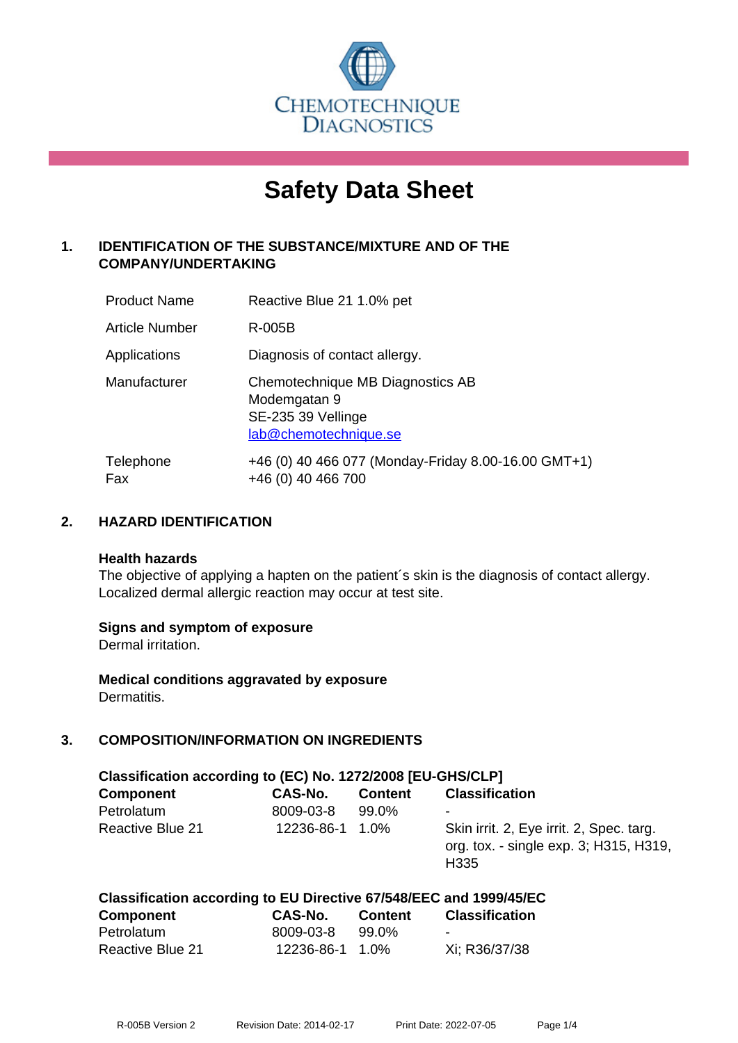

# **Safety Data Sheet**

# **1. IDENTIFICATION OF THE SUBSTANCE/MIXTURE AND OF THE COMPANY/UNDERTAKING**

| <b>Product Name</b>   | Reactive Blue 21 1.0% pet                                                                       |
|-----------------------|-------------------------------------------------------------------------------------------------|
| <b>Article Number</b> | R-005B                                                                                          |
| Applications          | Diagnosis of contact allergy.                                                                   |
| Manufacturer          | Chemotechnique MB Diagnostics AB<br>Modemgatan 9<br>SE-235 39 Vellinge<br>lab@chemotechnique.se |
| Telephone<br>Fax      | +46 (0) 40 466 077 (Monday-Friday 8.00-16.00 GMT+1)<br>+46 (0) 40 466 700                       |

# **2. HAZARD IDENTIFICATION**

#### **Health hazards**

The objective of applying a hapten on the patient's skin is the diagnosis of contact allergy. Localized dermal allergic reaction may occur at test site.

## **Signs and symptom of exposure**

Dermal irritation.

**Medical conditions aggravated by exposure** Dermatitis.

## **3. COMPOSITION/INFORMATION ON INGREDIENTS**

| Classification according to (EC) No. 1272/2008 [EU-GHS/CLP] |            |                |                                                                                                        |  |
|-------------------------------------------------------------|------------|----------------|--------------------------------------------------------------------------------------------------------|--|
| <b>Component</b>                                            | CAS-No.    | <b>Content</b> | <b>Classification</b>                                                                                  |  |
| Petrolatum                                                  | 8009-03-8  | 99.0%          | $\overline{\phantom{a}}$                                                                               |  |
| <b>Reactive Blue 21</b>                                     | 12236-86-1 | 1.0%           | Skin irrit. 2, Eye irrit. 2, Spec. targ.<br>org. tox. - single exp. 3; H315, H319,<br>H <sub>335</sub> |  |

#### **Classification according to EU Directive 67/548/EEC and 1999/45/EC Component CAS-No. Content Classification** Petrolatum 8009-03-8 99.0%

| Reactive Blue 21 | 12236-86-1 1.0% | Xi; R36/37/38 |
|------------------|-----------------|---------------|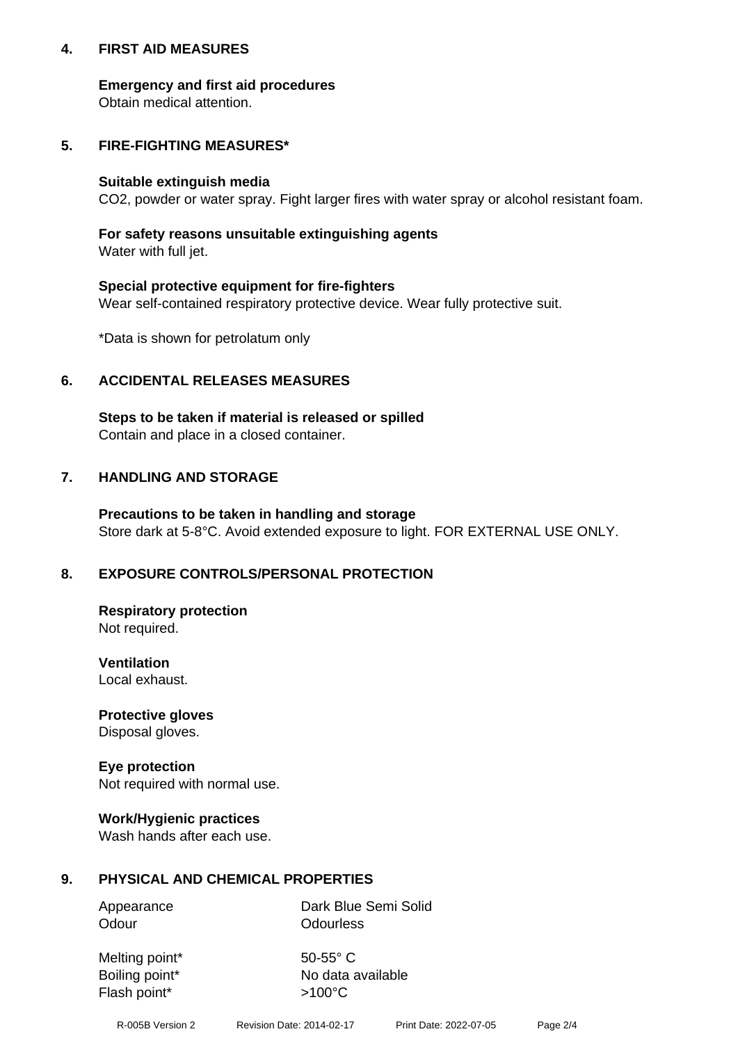## **4. FIRST AID MEASURES**

## **Emergency and first aid procedures**

Obtain medical attention.

# **5. FIRE-FIGHTING MEASURES\***

#### **Suitable extinguish media**

CO2, powder or water spray. Fight larger fires with water spray or alcohol resistant foam.

# **For safety reasons unsuitable extinguishing agents**

Water with full jet.

## **Special protective equipment for fire-fighters**

Wear self-contained respiratory protective device. Wear fully protective suit.

\*Data is shown for petrolatum only

# **6. ACCIDENTAL RELEASES MEASURES**

**Steps to be taken if material is released or spilled** Contain and place in a closed container.

# **7. HANDLING AND STORAGE**

**Precautions to be taken in handling and storage** Store dark at 5-8°C. Avoid extended exposure to light. FOR EXTERNAL USE ONLY.

# **8. EXPOSURE CONTROLS/PERSONAL PROTECTION**

**Respiratory protection** Not required.

**Ventilation** Local exhaust.

**Protective gloves** Disposal gloves.

#### **Eye protection** Not required with normal use.

## **Work/Hygienic practices**

Wash hands after each use.

## **9. PHYSICAL AND CHEMICAL PROPERTIES**

Odour **Odourless** 

Appearance Dark Blue Semi Solid

Melting point\* 50-55° C Flash point\*  $>100^{\circ}$ C

Boiling point\* No data available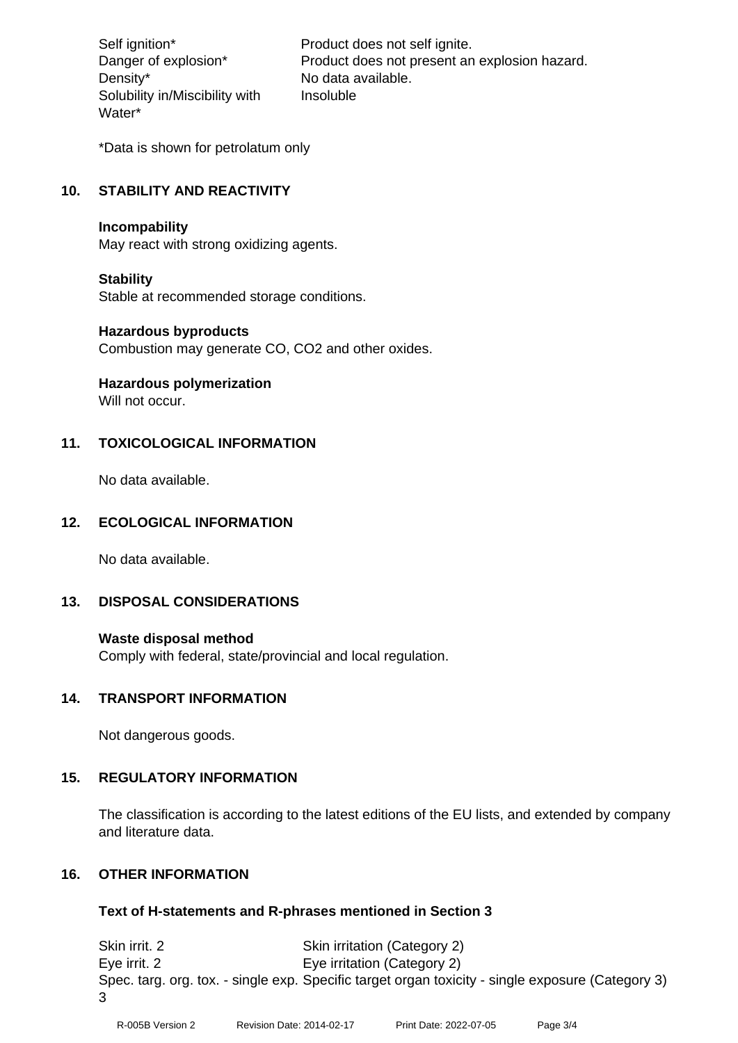Density\* No data available. Solubility in/Miscibility with Water\*

Self ignition\* Product does not self ignite. Danger of explosion\* Product does not present an explosion hazard. Insoluble

\*Data is shown for petrolatum only

# **10. STABILITY AND REACTIVITY**

#### **Incompability**

May react with strong oxidizing agents.

#### **Stability**

Stable at recommended storage conditions.

#### **Hazardous byproducts**

Combustion may generate CO, CO2 and other oxides.

**Hazardous polymerization**

Will not occur.

## **11. TOXICOLOGICAL INFORMATION**

No data available.

## **12. ECOLOGICAL INFORMATION**

No data available.

## **13. DISPOSAL CONSIDERATIONS**

#### **Waste disposal method**

Comply with federal, state/provincial and local regulation.

#### **14. TRANSPORT INFORMATION**

Not dangerous goods.

## **15. REGULATORY INFORMATION**

The classification is according to the latest editions of the EU lists, and extended by company and literature data.

## **16. OTHER INFORMATION**

#### **Text of H-statements and R-phrases mentioned in Section 3**

Skin irrit. 2 Skin irritation (Category 2) Eye irrit. 2 Eye irritation (Category 2) Spec. targ. org. tox. - single exp. Specific target organ toxicity - single exposure (Category 3) 3

R-005B Version 2 Revision Date: 2014-02-17 Print Date: 2022-07-05 Page 3/4